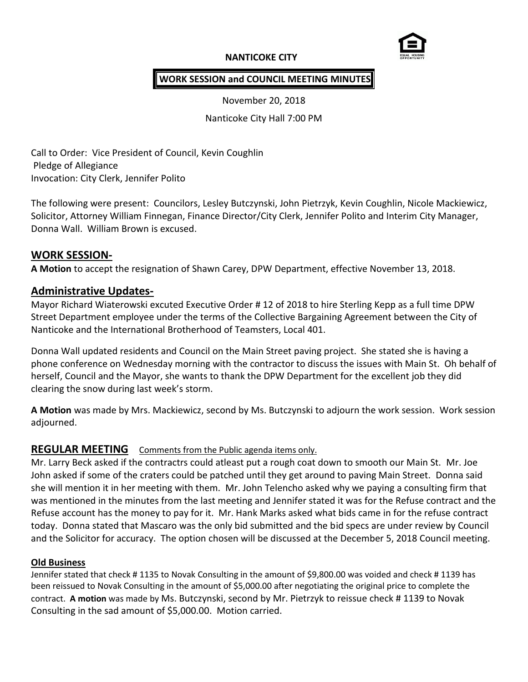# **NANTICOKE CITY**



# **WORK SESSION and COUNCIL MEETING MINUTES**

November 20, 2018

Nanticoke City Hall 7:00 PM

Call to Order: Vice President of Council, Kevin Coughlin Pledge of Allegiance Invocation: City Clerk, Jennifer Polito

The following were present: Councilors, Lesley Butczynski, John Pietrzyk, Kevin Coughlin, Nicole Mackiewicz, Solicitor, Attorney William Finnegan, Finance Director/City Clerk, Jennifer Polito and Interim City Manager, Donna Wall. William Brown is excused.

## **WORK SESSION-**

**A Motion** to accept the resignation of Shawn Carey, DPW Department, effective November 13, 2018.

## **Administrative Updates-**

Mayor Richard Wiaterowski excuted Executive Order # 12 of 2018 to hire Sterling Kepp as a full time DPW Street Department employee under the terms of the Collective Bargaining Agreement between the City of Nanticoke and the International Brotherhood of Teamsters, Local 401.

Donna Wall updated residents and Council on the Main Street paving project. She stated she is having a phone conference on Wednesday morning with the contractor to discuss the issues with Main St. Oh behalf of herself, Council and the Mayor, she wants to thank the DPW Department for the excellent job they did clearing the snow during last week's storm.

**A Motion** was made by Mrs. Mackiewicz, second by Ms. Butczynski to adjourn the work session. Work session adjourned.

# **REGULAR MEETING** Comments from the Public agenda items only.

Mr. Larry Beck asked if the contractrs could atleast put a rough coat down to smooth our Main St. Mr. Joe John asked if some of the craters could be patched until they get around to paving Main Street. Donna said she will mention it in her meeting with them. Mr. John Telencho asked why we paying a consulting firm that was mentioned in the minutes from the last meeting and Jennifer stated it was for the Refuse contract and the Refuse account has the money to pay for it. Mr. Hank Marks asked what bids came in for the refuse contract today. Donna stated that Mascaro was the only bid submitted and the bid specs are under review by Council and the Solicitor for accuracy. The option chosen will be discussed at the December 5, 2018 Council meeting.

#### **Old Business**

Jennifer stated that check # 1135 to Novak Consulting in the amount of \$9,800.00 was voided and check # 1139 has been reissued to Novak Consulting in the amount of \$5,000.00 after negotiating the original price to complete the contract. **A motion** was made by Ms. Butczynski, second by Mr. Pietrzyk to reissue check # 1139 to Novak Consulting in the sad amount of \$5,000.00. Motion carried.